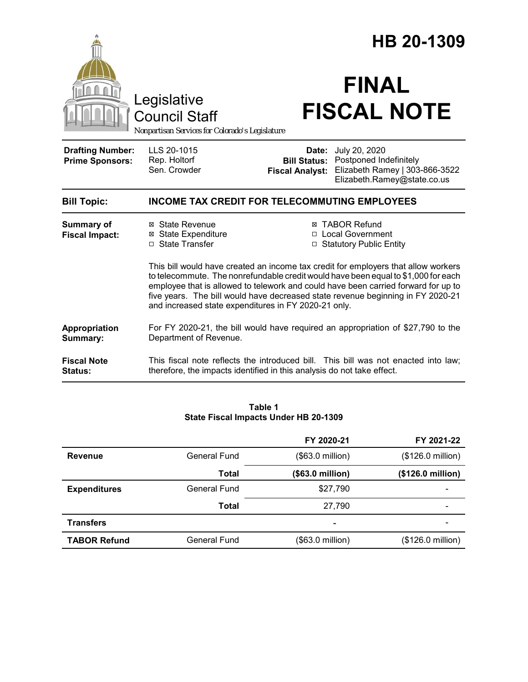|                                                   |                                                                                                                                                              | HB 20-1309                                                                                                                                                                                                                                                                                                                                                                                                |  |  |
|---------------------------------------------------|--------------------------------------------------------------------------------------------------------------------------------------------------------------|-----------------------------------------------------------------------------------------------------------------------------------------------------------------------------------------------------------------------------------------------------------------------------------------------------------------------------------------------------------------------------------------------------------|--|--|
|                                                   | Legislative<br><b>Council Staff</b><br>Nonpartisan Services for Colorado's Legislature                                                                       | <b>FINAL</b><br><b>FISCAL NOTE</b>                                                                                                                                                                                                                                                                                                                                                                        |  |  |
| <b>Drafting Number:</b><br><b>Prime Sponsors:</b> | LLS 20-1015<br>Rep. Holtorf<br>Sen. Crowder                                                                                                                  | July 20, 2020<br>Date:<br>Postponed Indefinitely<br><b>Bill Status:</b><br>Elizabeth Ramey   303-866-3522<br><b>Fiscal Analyst:</b><br>Elizabeth.Ramey@state.co.us                                                                                                                                                                                                                                        |  |  |
| <b>Bill Topic:</b>                                | <b>INCOME TAX CREDIT FOR TELECOMMUTING EMPLOYEES</b>                                                                                                         |                                                                                                                                                                                                                                                                                                                                                                                                           |  |  |
| <b>Summary of</b><br><b>Fiscal Impact:</b>        | ⊠ State Revenue<br><b>State Expenditure</b><br>□ State Transfer                                                                                              | <b>⊠ TABOR Refund</b><br>□ Local Government<br>□ Statutory Public Entity                                                                                                                                                                                                                                                                                                                                  |  |  |
|                                                   |                                                                                                                                                              | This bill would have created an income tax credit for employers that allow workers<br>to telecommute. The nonrefundable credit would have been equal to \$1,000 for each<br>employee that is allowed to telework and could have been carried forward for up to<br>five years. The bill would have decreased state revenue beginning in FY 2020-21<br>and increased state expenditures in FY 2020-21 only. |  |  |
| Appropriation<br>Summary:                         | For FY 2020-21, the bill would have required an appropriation of \$27,790 to the<br>Department of Revenue.                                                   |                                                                                                                                                                                                                                                                                                                                                                                                           |  |  |
| <b>Fiscal Note</b><br>Status:                     | This fiscal note reflects the introduced bill. This bill was not enacted into law;<br>therefore, the impacts identified in this analysis do not take effect. |                                                                                                                                                                                                                                                                                                                                                                                                           |  |  |

### **Table 1 State Fiscal Impacts Under HB 20-1309**

|                     |                     | FY 2020-21       | FY 2021-22        |
|---------------------|---------------------|------------------|-------------------|
| <b>Revenue</b>      | <b>General Fund</b> | (\$63.0 million) | (\$126.0 million) |
|                     | Total               | (\$63.0 million) | (\$126.0 million) |
| <b>Expenditures</b> | <b>General Fund</b> | \$27,790         |                   |
|                     | Total               | 27,790           |                   |
| <b>Transfers</b>    |                     | ۰                |                   |
| <b>TABOR Refund</b> | General Fund        | (\$63.0 million) | (\$126.0 million) |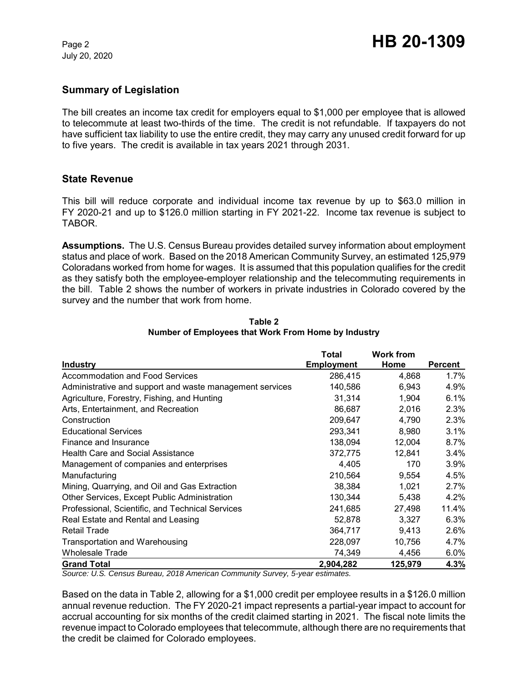July 20, 2020

# **Summary of Legislation**

The bill creates an income tax credit for employers equal to \$1,000 per employee that is allowed to telecommute at least two-thirds of the time. The credit is not refundable. If taxpayers do not have sufficient tax liability to use the entire credit, they may carry any unused credit forward for up to five years. The credit is available in tax years 2021 through 2031.

## **State Revenue**

This bill will reduce corporate and individual income tax revenue by up to \$63.0 million in FY 2020-21 and up to \$126.0 million starting in FY 2021-22. Income tax revenue is subject to TABOR.

**Assumptions.** The U.S. Census Bureau provides detailed survey information about employment status and place of work. Based on the 2018 American Community Survey, an estimated 125,979 Coloradans worked from home for wages. It is assumed that this population qualifies for the credit as they satisfy both the employee-employer relationship and the telecommuting requirements in the bill. Table 2 shows the number of workers in private industries in Colorado covered by the survey and the number that work from home.

|                                                          | Total             | <b>Work from</b> |         |
|----------------------------------------------------------|-------------------|------------------|---------|
| Industry                                                 | <b>Employment</b> | Home             | Percent |
| Accommodation and Food Services                          | 286,415           | 4,868            | $1.7\%$ |
| Administrative and support and waste management services | 140,586           | 6,943            | 4.9%    |
| Agriculture, Forestry, Fishing, and Hunting              | 31,314            | 1,904            | 6.1%    |
| Arts, Entertainment, and Recreation                      | 86,687            | 2,016            | 2.3%    |
| Construction                                             | 209,647           | 4,790            | 2.3%    |
| <b>Educational Services</b>                              | 293,341           | 8,980            | 3.1%    |
| Finance and Insurance                                    | 138,094           | 12,004           | 8.7%    |
| <b>Health Care and Social Assistance</b>                 | 372,775           | 12,841           | $3.4\%$ |
| Management of companies and enterprises                  | 4,405             | 170              | 3.9%    |
| Manufacturing                                            | 210,564           | 9,554            | 4.5%    |
| Mining, Quarrying, and Oil and Gas Extraction            | 38,384            | 1,021            | 2.7%    |
| Other Services, Except Public Administration             | 130,344           | 5,438            | $4.2\%$ |
| Professional, Scientific, and Technical Services         | 241,685           | 27,498           | 11.4%   |
| Real Estate and Rental and Leasing                       | 52,878            | 3,327            | 6.3%    |
| <b>Retail Trade</b>                                      | 364,717           | 9,413            | 2.6%    |
| Transportation and Warehousing                           | 228,097           | 10,756           | 4.7%    |
| <b>Wholesale Trade</b>                                   | 74,349            | 4,456            | 6.0%    |
| <b>Grand Total</b>                                       | 2,904,282         | 125,979          | 4.3%    |

**Table 2 Number of Employees that Work From Home by Industry**

*Source: U.S. Census Bureau, 2018 American Community Survey, 5-year estimates.*

Based on the data in Table 2, allowing for a \$1,000 credit per employee results in a \$126.0 million annual revenue reduction. The FY 2020-21 impact represents a partial-year impact to account for accrual accounting for six months of the credit claimed starting in 2021. The fiscal note limits the revenue impact to Colorado employees that telecommute, although there are no requirements that the credit be claimed for Colorado employees.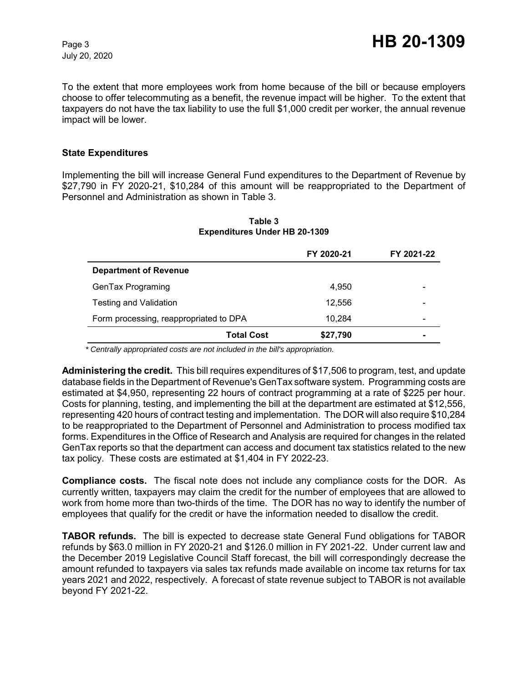July 20, 2020

To the extent that more employees work from home because of the bill or because employers choose to offer telecommuting as a benefit, the revenue impact will be higher. To the extent that taxpayers do not have the tax liability to use the full \$1,000 credit per worker, the annual revenue impact will be lower.

### **State Expenditures**

Implementing the bill will increase General Fund expenditures to the Department of Revenue by \$27,790 in FY 2020-21, \$10,284 of this amount will be reappropriated to the Department of Personnel and Administration as shown in Table 3.

|                                        | FY 2020-21 | FY 2021-22               |
|----------------------------------------|------------|--------------------------|
| <b>Department of Revenue</b>           |            |                          |
| GenTax Programing                      | 4.950      |                          |
| <b>Testing and Validation</b>          | 12.556     |                          |
| Form processing, reappropriated to DPA | 10.284     | $\overline{\phantom{0}}$ |
| <b>Total Cost</b>                      | \$27,790   |                          |

#### **Table 3 Expenditures Under HB 20-1309**

 *\* Centrally appropriated costs are not included in the bill's appropriation.*

**Administering the credit.** This bill requires expenditures of \$17,506 to program, test, and update database fields in the Department of Revenue's GenTax software system. Programming costs are estimated at \$4,950, representing 22 hours of contract programming at a rate of \$225 per hour. Costs for planning, testing, and implementing the bill at the department are estimated at \$12,556, representing 420 hours of contract testing and implementation. The DOR will also require \$10,284 to be reappropriated to the Department of Personnel and Administration to process modified tax forms. Expenditures in the Office of Research and Analysis are required for changes in the related GenTax reports so that the department can access and document tax statistics related to the new tax policy. These costs are estimated at \$1,404 in FY 2022-23.

**Compliance costs.** The fiscal note does not include any compliance costs for the DOR. As currently written, taxpayers may claim the credit for the number of employees that are allowed to work from home more than two-thirds of the time. The DOR has no way to identify the number of employees that qualify for the credit or have the information needed to disallow the credit.

**TABOR refunds.** The bill is expected to decrease state General Fund obligations for TABOR refunds by \$63.0 million in FY 2020-21 and \$126.0 million in FY 2021-22. Under current law and the December 2019 Legislative Council Staff forecast, the bill will correspondingly decrease the amount refunded to taxpayers via sales tax refunds made available on income tax returns for tax years 2021 and 2022, respectively. A forecast of state revenue subject to TABOR is not available beyond FY 2021-22.